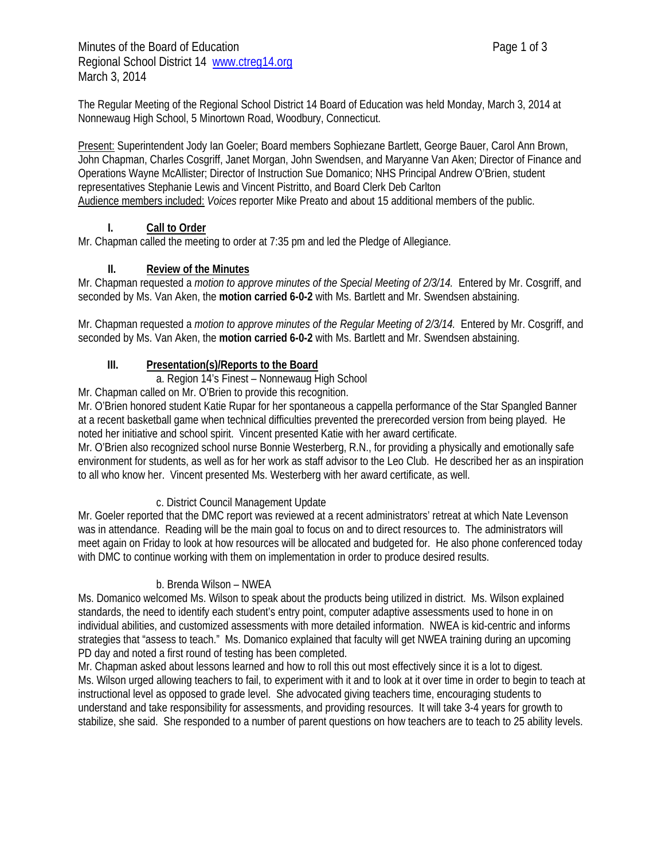The Regular Meeting of the Regional School District 14 Board of Education was held Monday, March 3, 2014 at Nonnewaug High School, 5 Minortown Road, Woodbury, Connecticut.

Present: Superintendent Jody Ian Goeler; Board members Sophiezane Bartlett, George Bauer, Carol Ann Brown, John Chapman, Charles Cosgriff, Janet Morgan, John Swendsen, and Maryanne Van Aken; Director of Finance and Operations Wayne McAllister; Director of Instruction Sue Domanico; NHS Principal Andrew O'Brien, student representatives Stephanie Lewis and Vincent Pistritto, and Board Clerk Deb Carlton Audience members included: *Voices* reporter Mike Preato and about 15 additional members of the public.

### **I. Call to Order**

Mr. Chapman called the meeting to order at 7:35 pm and led the Pledge of Allegiance.

### **II. Review of the Minutes**

Mr. Chapman requested a *motion to approve minutes of the Special Meeting of 2/3/14.* Entered by Mr. Cosgriff, and seconded by Ms. Van Aken, the **motion carried 6-0-2** with Ms. Bartlett and Mr. Swendsen abstaining.

Mr. Chapman requested a *motion to approve minutes of the Regular Meeting of 2/3/14.* Entered by Mr. Cosgriff, and seconded by Ms. Van Aken, the **motion carried 6-0-2** with Ms. Bartlett and Mr. Swendsen abstaining.

### **III. Presentation(s)/Reports to the Board**

a. Region 14's Finest – Nonnewaug High School

Mr. Chapman called on Mr. O'Brien to provide this recognition.

Mr. O'Brien honored student Katie Rupar for her spontaneous a cappella performance of the Star Spangled Banner at a recent basketball game when technical difficulties prevented the prerecorded version from being played. He noted her initiative and school spirit. Vincent presented Katie with her award certificate.

Mr. O'Brien also recognized school nurse Bonnie Westerberg, R.N., for providing a physically and emotionally safe environment for students, as well as for her work as staff advisor to the Leo Club. He described her as an inspiration to all who know her. Vincent presented Ms. Westerberg with her award certificate, as well.

#### c. District Council Management Update

Mr. Goeler reported that the DMC report was reviewed at a recent administrators' retreat at which Nate Levenson was in attendance. Reading will be the main goal to focus on and to direct resources to. The administrators will meet again on Friday to look at how resources will be allocated and budgeted for. He also phone conferenced today with DMC to continue working with them on implementation in order to produce desired results.

#### b. Brenda Wilson – NWEA

Ms. Domanico welcomed Ms. Wilson to speak about the products being utilized in district. Ms. Wilson explained standards, the need to identify each student's entry point, computer adaptive assessments used to hone in on individual abilities, and customized assessments with more detailed information. NWEA is kid-centric and informs strategies that "assess to teach." Ms. Domanico explained that faculty will get NWEA training during an upcoming PD day and noted a first round of testing has been completed.

Mr. Chapman asked about lessons learned and how to roll this out most effectively since it is a lot to digest. Ms. Wilson urged allowing teachers to fail, to experiment with it and to look at it over time in order to begin to teach at instructional level as opposed to grade level. She advocated giving teachers time, encouraging students to understand and take responsibility for assessments, and providing resources. It will take 3-4 years for growth to stabilize, she said. She responded to a number of parent questions on how teachers are to teach to 25 ability levels.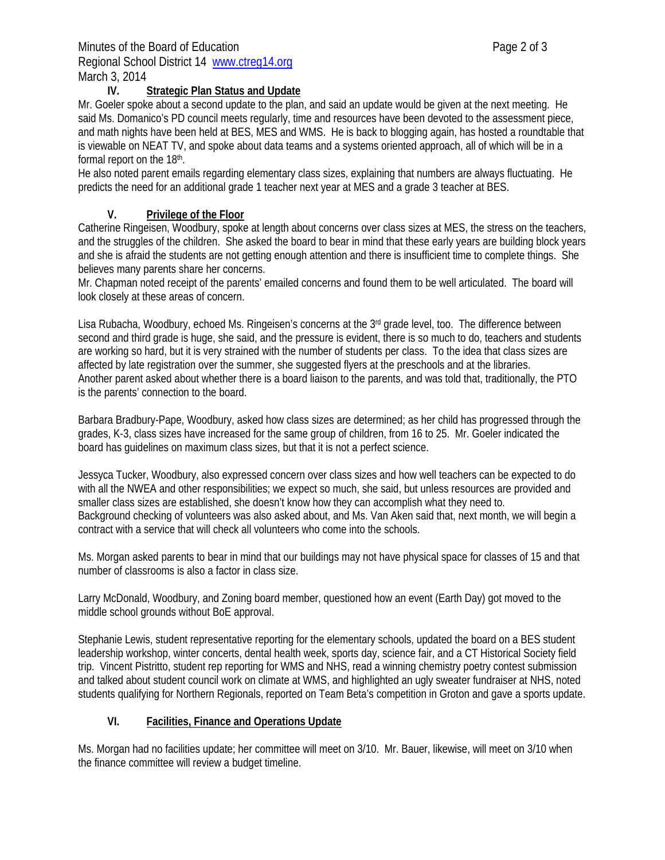#### **IV. Strategic Plan Status and Update**

Mr. Goeler spoke about a second update to the plan, and said an update would be given at the next meeting. He said Ms. Domanico's PD council meets regularly, time and resources have been devoted to the assessment piece, and math nights have been held at BES, MES and WMS. He is back to blogging again, has hosted a roundtable that is viewable on NEAT TV, and spoke about data teams and a systems oriented approach, all of which will be in a formal report on the 18<sup>th</sup>.

He also noted parent emails regarding elementary class sizes, explaining that numbers are always fluctuating. He predicts the need for an additional grade 1 teacher next year at MES and a grade 3 teacher at BES.

### **V. Privilege of the Floor**

Catherine Ringeisen, Woodbury, spoke at length about concerns over class sizes at MES, the stress on the teachers, and the struggles of the children. She asked the board to bear in mind that these early years are building block years and she is afraid the students are not getting enough attention and there is insufficient time to complete things. She believes many parents share her concerns.

Mr. Chapman noted receipt of the parents' emailed concerns and found them to be well articulated. The board will look closely at these areas of concern.

Lisa Rubacha, Woodbury, echoed Ms. Ringeisen's concerns at the 3<sup>rd</sup> grade level, too. The difference between second and third grade is huge, she said, and the pressure is evident, there is so much to do, teachers and students are working so hard, but it is very strained with the number of students per class. To the idea that class sizes are affected by late registration over the summer, she suggested flyers at the preschools and at the libraries. Another parent asked about whether there is a board liaison to the parents, and was told that, traditionally, the PTO is the parents' connection to the board.

Barbara Bradbury-Pape, Woodbury, asked how class sizes are determined; as her child has progressed through the grades, K-3, class sizes have increased for the same group of children, from 16 to 25. Mr. Goeler indicated the board has guidelines on maximum class sizes, but that it is not a perfect science.

Jessyca Tucker, Woodbury, also expressed concern over class sizes and how well teachers can be expected to do with all the NWEA and other responsibilities; we expect so much, she said, but unless resources are provided and smaller class sizes are established, she doesn't know how they can accomplish what they need to. Background checking of volunteers was also asked about, and Ms. Van Aken said that, next month, we will begin a contract with a service that will check all volunteers who come into the schools.

Ms. Morgan asked parents to bear in mind that our buildings may not have physical space for classes of 15 and that number of classrooms is also a factor in class size.

Larry McDonald, Woodbury, and Zoning board member, questioned how an event (Earth Day) got moved to the middle school grounds without BoE approval.

Stephanie Lewis, student representative reporting for the elementary schools, updated the board on a BES student leadership workshop, winter concerts, dental health week, sports day, science fair, and a CT Historical Society field trip. Vincent Pistritto, student rep reporting for WMS and NHS, read a winning chemistry poetry contest submission and talked about student council work on climate at WMS, and highlighted an ugly sweater fundraiser at NHS, noted students qualifying for Northern Regionals, reported on Team Beta's competition in Groton and gave a sports update.

## **VI. Facilities, Finance and Operations Update**

Ms. Morgan had no facilities update; her committee will meet on 3/10. Mr. Bauer, likewise, will meet on 3/10 when the finance committee will review a budget timeline.